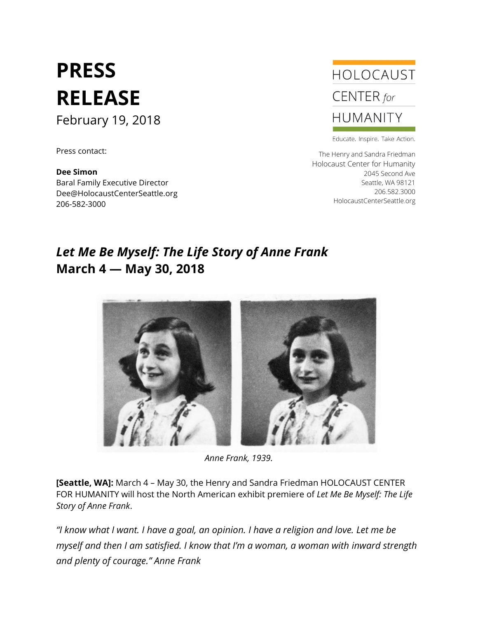# **PRESS RELEASE** February 19, 2018

Press contact:

**Dee Simon** Baral Family Executive Director Dee@HolocaustCenterSeattle.org 206-582-3000



Educate. Inspire. Take Action.

The Henry and Sandra Friedman Holocaust Center for Humanity 2045 Second Ave Seattle, WA 98121 206.582.3000 HolocaustCenterSeattle.org

## *Let Me Be Myself: The Life Story of Anne Frank* **March 4 — May 30, 2018**



*Anne Frank, 1939.*

**[Seattle, WA]:** March 4 – May 30, the Henry and Sandra Friedman HOLOCAUST CENTER FOR HUMANITY will host the North American exhibit premiere of *Let Me Be Myself: The Life Story of Anne Frank*.

*"I know what I want. I have a goal, an opinion. I have a religion and love. Let me be myself and then I am satisfied. I know that I'm a woman, a woman with inward strength and plenty of courage." Anne Frank*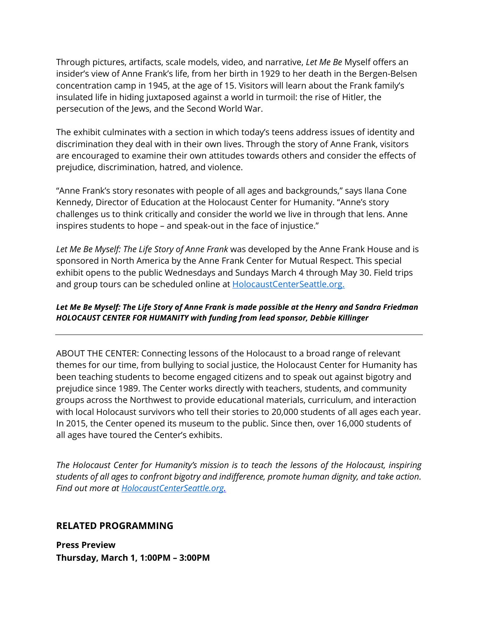Through pictures, artifacts, scale models, video, and narrative, *Let Me Be* Myself offers an insider's view of Anne Frank's life, from her birth in 1929 to her death in the Bergen-Belsen concentration camp in 1945, at the age of 15. Visitors will learn about the Frank family's insulated life in hiding juxtaposed against a world in turmoil: the rise of Hitler, the persecution of the Jews, and the Second World War.

The exhibit culminates with a section in which today's teens address issues of identity and discrimination they deal with in their own lives. Through the story of Anne Frank, visitors are encouraged to examine their own attitudes towards others and consider the effects of prejudice, discrimination, hatred, and violence.

"Anne Frank's story resonates with people of all ages and backgrounds," says Ilana Cone Kennedy, Director of Education at the Holocaust Center for Humanity. "Anne's story challenges us to think critically and consider the world we live in through that lens. Anne inspires students to hope – and speak-out in the face of injustice."

*Let Me Be Myself: The Life Story of Anne Frank* was developed by the Anne Frank House and is sponsored in North America by the Anne Frank Center for Mutual Respect. This special exhibit opens to the public Wednesdays and Sundays March 4 through May 30. Field trips and group tours can be scheduled online at [HolocaustCenterSeattle.org.](http://www.holocaustcenterseattle.org/)

#### *Let Me Be Myself: The Life Story of Anne Frank is made possible at the Henry and Sandra Friedman HOLOCAUST CENTER FOR HUMANITY with funding from lead sponsor, Debbie Killinger*

ABOUT THE CENTER: Connecting lessons of the Holocaust to a broad range of relevant themes for our time, from bullying to social justice, the Holocaust Center for Humanity has been teaching students to become engaged citizens and to speak out against bigotry and prejudice since 1989. The Center works directly with teachers, students, and community groups across the Northwest to provide educational materials, curriculum, and interaction with local Holocaust survivors who tell their stories to 20,000 students of all ages each year. In 2015, the Center opened its museum to the public. Since then, over 16,000 students of all ages have toured the Center's exhibits.

*The Holocaust Center for Humanity's mission is to teach the lessons of the Holocaust, inspiring students of all ages to confront bigotry and indifference, promote human dignity, and take action. Find out more at [HolocaustCenterSeattle.org.](http://www.holocaustcenterseattle.org/)*

#### **RELATED PROGRAMMING**

**Press Preview Thursday, March 1, 1:00PM – 3:00PM**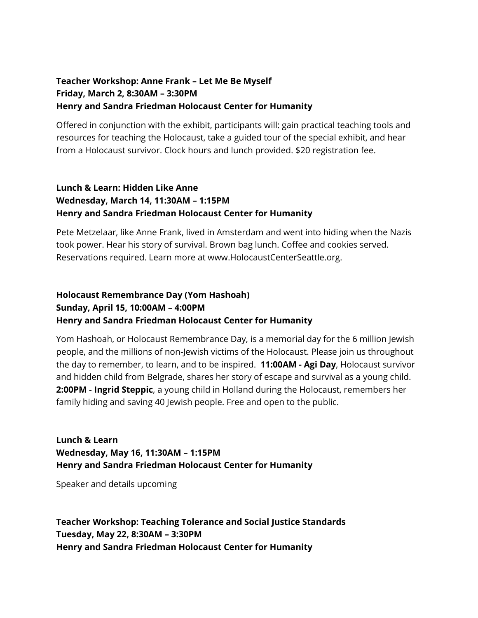#### **Teacher Workshop: Anne Frank – Let Me Be Myself Friday, March 2, 8:30AM – 3:30PM Henry and Sandra Friedman Holocaust Center for Humanity**

Offered in conjunction with the exhibit, participants will: gain practical teaching tools and resources for teaching the Holocaust, take a guided tour of the special exhibit, and hear from a Holocaust survivor. Clock hours and lunch provided. \$20 registration fee.

#### **Lunch & Learn: Hidden Like Anne Wednesday, March 14, 11:30AM – 1:15PM Henry and Sandra Friedman Holocaust Center for Humanity**

Pete Metzelaar, like Anne Frank, lived in Amsterdam and went into hiding when the Nazis took power. Hear his story of survival. Brown bag lunch. Coffee and cookies served. Reservations required. Learn more at www.HolocaustCenterSeattle.org.

### **Holocaust Remembrance Day (Yom Hashoah) Sunday, April 15, 10:00AM – 4:00PM Henry and Sandra Friedman Holocaust Center for Humanity**

Yom Hashoah, or Holocaust Remembrance Day, is a memorial day for the 6 million Jewish people, and the millions of non-Jewish victims of the Holocaust. Please join us throughout the day to remember, to learn, and to be inspired. **11:00AM - Agi Day**, Holocaust survivor and hidden child from Belgrade, shares her story of escape and survival as a young child. **2:00PM - Ingrid Steppic**, a young child in Holland during the Holocaust, remembers her family hiding and saving 40 Jewish people. Free and open to the public.

**Lunch & Learn Wednesday, May 16, 11:30AM – 1:15PM Henry and Sandra Friedman Holocaust Center for Humanity**

Speaker and details upcoming

**Teacher Workshop: Teaching Tolerance and Social Justice Standards Tuesday, May 22, 8:30AM – 3:30PM Henry and Sandra Friedman Holocaust Center for Humanity**